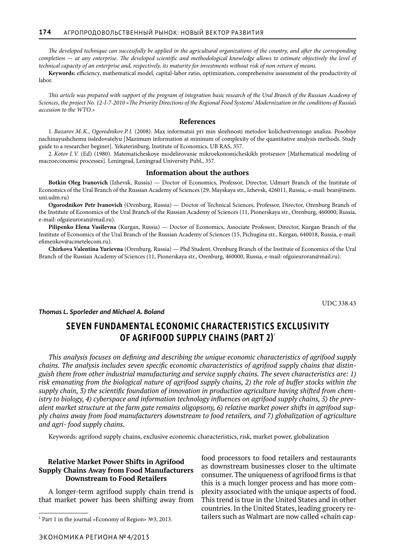# **SEVEN FUNDAMENTAL ECONOMIC CHARACTERISTICS EXCLUSIVITY OF AGRIFOOD SUPPLY CHAINS (PART 2)** 1

*This analysis focuses on defining and describing the unique economic characteristics of agrifood supply chains. The analysis includes seven specific economic characteristics of agrifood supply chains that distinguish them from other industrial manufacturing and service supply chains. The seven characteristics are: 1) risk emanating from the biological nature of agrifood supply chains, 2) the role of buffer stocks within the supply chain, 3) the scientific foundation of innovation in production agriculture having shifted from chemistry to biology, 4) cyberspace and information technology influences on agrifood supply chains, 5) the prevalent market structure at the farm gate remains oligopsony, 6) relative market power shifts in agrifood supply chains away from food manufacturers downstream to food retailers, and 7) globalization of agriculture and agri- food supply chains.*

Keywords: agrifood supply chains, exclusive economic characteristics, risk, market power, globalization

## **Relative Market Power Shifts in Agrifood Supply Chains Away from Food Manufacturers Downstream to Food Retailers**

A longer-term agrifood supply chain trend is that market power has been shifting away from food processors to food retailers and restaurants as downstream businesses closer to the ultimate consumer. The uniqueness of agrifood firms is that this is a much longer process and has more complexity associated with the unique aspects of food. This trend is true in the United States and in other countries. In the United States, leading grocery retailers such as Walmart are now called «chain cap-

<sup>1</sup> Part 1 in the journal «Economy of Region» №3, 2013.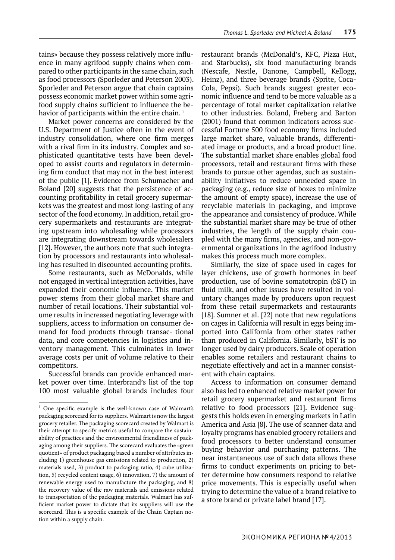tains» because they possess relatively more influence in many agrifood supply chains when compared to other participants in the same chain, such as food processors (Sporleder and Peterson 2003). Sporleder and Peterson argue that chain captains possess economic market power within some agrifood supply chains sufficient to influence the behavior of participants within the entire chain.<sup>1</sup>

Market power concerns are considered by the U.S. Department of Justice often in the event of industry consolidation, where one firm merges with a rival firm in its industry. Complex and sophisticated quantitative tests have been developed to assist courts and regulators in determining firm conduct that may not in the best interest of the public [1]. Evidence from Schumacher and Boland [20] suggests that the persistence of accounting profitability in retail grocery supermarkets was the greatest and most long-lasting of any sector of the food economy. In addition, retail grocery supermarkets and restaurants are integrating upstream into wholesaling while processors are integrating downstream towards wholesalers [12]. However, the authors note that such integration by processors and restaurants into wholesaling has resulted in discounted accounting profits.

Some restaurants, such as McDonalds, while not engaged in vertical integration activities, have expanded their economic influence. This market power stems from their global market share and number of retail locations. Their substantial volume results in increased negotiating leverage with suppliers, access to information on consumer demand for food products through transac- tional data, and core competencies in logistics and inventory management. This culminates in lower average costs per unit of volume relative to their competitors.

Successful brands can provide enhanced market power over time. Interbrand's list of the top 100 most valuable global brands includes four restaurant brands (McDonald's, KFC, Pizza Hut, and Starbucks), six food manufacturing brands (Nescafe, Nestle, Danone, Campbell, Kellogg, Heinz), and three beverage brands (Sprite, Coca-Cola, Pepsi). Such brands suggest greater economic influence and tend to be more valuable as a percentage of total market capitalization relative to other industries. Boland, Freberg and Barton (2001) found that common indicators across successful Fortune 500 food economy firms included large market share, valuable brands, differentiated image or products, and a broad product line. The substantial market share enables global food processors, retail and restaurant firms with these brands to pursue other agendas, such as sustainability initiatives to reduce unneeded space in packaging (e.g., reduce size of boxes to minimize the amount of empty space), increase the use of recyclable materials in packaging, and improve the appearance and consistency of produce. While the substantial market share may be true of other industries, the length of the supply chain coupled with the many firms, agencies, and non-governmental organizations in the agrifood industry makes this process much more complex.

Similarly, the size of space used in cages for layer chickens, use of growth hormones in beef production, use of bovine somatotropin (bST) in fluid milk, and other issues have resulted in voluntary changes made by producers upon request from these retail supermarkets and restaurants [18]. Sumner et al. [22] note that new regulations on cages in California will result in eggs being imported into California from other states rather than produced in California. Similarly, bST is no longer used by dairy producers. Scale of operation enables some retailers and restaurant chains to negotiate effectively and act in a manner consistent with chain captains.

Access to information on consumer demand also has led to enhanced relative market power for retail grocery supermarket and restaurant firms relative to food processors [21]. Evidence suggests this holds even in emerging markets in Latin America and Asia [8]. The use of scanner data and loyalty programs has enabled grocery retailers and food processors to better understand consumer buying behavior and purchasing patterns. The near instantaneous use of such data allows these firms to conduct experiments on pricing to better determine how consumers respond to relative price movements. This is especially useful when trying to determine the value of a brand relative to a store brand or private label brand [17].

<sup>&</sup>lt;sup>1</sup> One specific example is the well-known case of Walmart's packaging scorecard for its suppliers. Walmart is now the largest grocery retailer. The packaging scorecard created by Walmart is their attempt to specify metrics useful to compare the sustainability of practices and the environmental friendliness of packaging among their suppliers. The scorecard evaluates the «green quotient» of product packaging based a number of attributes including 1) greenhouse gas emissions related to production, 2) materials used, 3) product to packaging ratio, 4) cube utilization, 5) recycled content usage, 6) innovation, 7) the amount of renewable energy used to manufacture the packaging, and 8) the recovery value of the raw materials and emissions related to transportation of the packaging materials. Walmart has sufficient market power to dictate that its suppliers will use the scorecard. This is a specific example of the Chain Captain notion within a supply chain.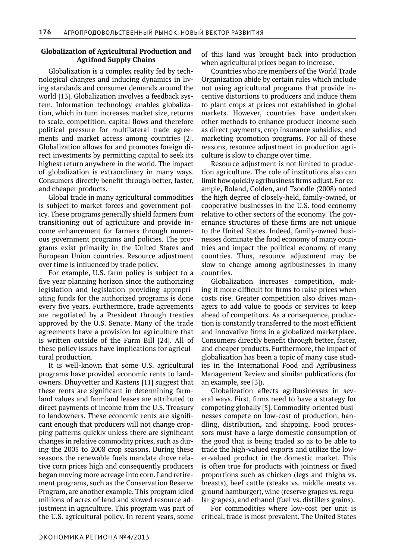### **Globalization of Agricultural Production and Agrifood Supply Chains**

Globalization is a complex reality fed by technological changes and inducing dynamics in living standards and consumer demands around the world [13]. Globalization involves a feedback system. Information technology enables globalization, which in turn increases market size, returns to scale, competition, capital flows and therefore political pressure for multilateral trade agreements and market access among countries [2]. Globalization allows for and promotes foreign direct investments by permitting capital to seek its highest return anywhere in the world. The impact of globalization is extraordinary in many ways. Consumers directly benefit through better, faster, and cheaper products.

Global trade in many agricultural commodities is subject to market forces and government policy. These programs generally shield farmers from transitioning out of agriculture and provide income enhancement for farmers through numerous government programs and policies. The programs exist primarily in the United States and European Union countries. Resource adjustment over time is influenced by trade policy.

For example, U.S. farm policy is subject to a five year planning horizon since the authorizing legislation and legislation providing appropriating funds for the authorized programs is done every five years. Furthermore, trade agreements are negotiated by a President through treaties approved by the U.S. Senate. Many of the trade agreements have a provision for agriculture that is written outside of the Farm Bill [24]. All of these policy issues have implications for agricultural production.

It is well-known that some U.S. agricultural programs have provided economic rents to landowners. Dhuyvetter and Kastens [11] suggest that these rents are significant in determining farmland values and farmland leases are attributed to direct payments of income from the U.S. Treasury to landowners. These economic rents are significant enough that producers will not change cropping patterns quickly unless there are significant changes in relative commodity prices, such as during the 2005 to 2008 crop seasons. During these seasons the renewable fuels mandate drove relative corn prices high and consequently producers began moving more acreage into corn. Land retirement programs, such as the Conservation Reserve Program, are another example. This program idled millions of acres of land and slowed resource adjustment in agriculture. This program was part of the U.S. agricultural policy. In recent years, some of this land was brought back into production when agricultural prices began to increase.

Countries who are members of the World Trade Organization abide by certain rules which include not using agricultural programs that provide incentive distortions to producers and induce them to plant crops at prices not established in global markets. However, countries have undertaken other methods to enhance producer income such as direct payments, crop insurance subsidies, and marketing promotion programs. For all of these reasons, resource adjustment in production agriculture is slow to change over time.

Resource adjustment is not limited to production agriculture. The role of institutions also can limit how quickly agribusiness firms adjust. For example, Boland, Golden, and Tsoodle (2008) noted the high degree of closely-held, family-owned, or cooperative businesses in the U.S. food economy relative to other sectors of the economy. The governance structures of these firms are not unique to the United States. Indeed, family-owned businesses dominate the food economy of many countries and impact the political economy of many countries. Thus, resource adjustment may be slow to change among agribusinesses in many countries.

Globalization increases competition, making it more difficult for firms to raise prices when costs rise. Greater competition also drives managers to add value to goods or services to keep ahead of competitors. As a consequence, production is constantly transferred to the most efficient and innovative firms in a globalized marketplace. Consumers directly benefit through better, faster, and cheaper products. Furthermore, the impact of globalization has been a topic of many case studies in the International Food and Agribusiness Management Review and similar publications (for an example, see [3]).

Globalization affects agribusinesses in several ways. First, firms need to have a strategy for competing globally [5]. Commodity-oriented businesses compete on low-cost of production, handling, distribution, and shipping. Food processors must have a large domestic consumption of the good that is being traded so as to be able to trade the high-valued exports and utilize the lower-valued product in the domestic market. This is often true for products with jointness or fixed proportions such as chicken (legs and thighs vs. breasts), beef cattle (steaks vs. middle meats vs. ground hamburger), wine (reserve grapes vs. regular grapes), and ethanol (fuel vs. distillers grains).

For commodities where low-cost per unit is critical, trade is most prevalent. The United States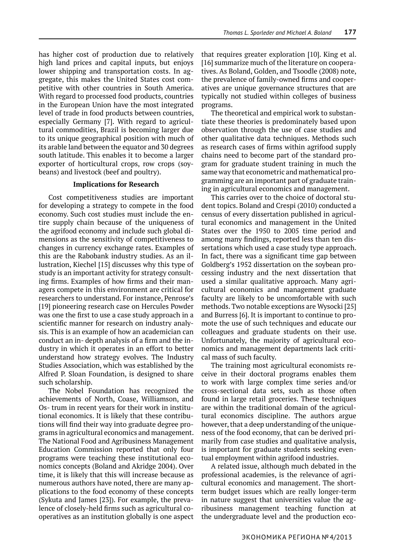has higher cost of production due to relatively high land prices and capital inputs, but enjoys lower shipping and transportation costs. In aggregate, this makes the United States cost competitive with other countries in South America. With regard to processed food products, countries in the European Union have the most integrated level of trade in food products between countries, especially Germany [7]. With regard to agricultural commodities, Brazil is becoming larger due to its unique geographical position with much of its arable land between the equator and 30 degrees south latitude. This enables it to become a larger exporter of horticultural crops, row crops (soybeans) and livestock (beef and poultry).

#### **Implications for Research**

Cost competitiveness studies are important for developing a strategy to compete in the food economy. Such cost studies must include the entire supply chain because of the uniqueness of the agrifood economy and include such global dimensions as the sensitivity of competitiveness to changes in currency exchange rates. Examples of this are the Rabobank industry studies. As an illustration, Kiechel [15] discusses why this type of study is an important activity for strategy consulting firms. Examples of how firms and their managers compete in this environment are critical for researchers to understand. For instance, Penrose's [19] pioneering research case on Hercules Powder was one the first to use a case study approach in a scientific manner for research on industry analysis. This is an example of how an academician can conduct an in- depth analysis of a firm and the industry in which it operates in an effort to better understand how strategy evolves. The Industry Studies Association, which was established by the Alfred P. Sloan Foundation, is designed to share such scholarship.

The Nobel Foundation has recognized the achievements of North, Coase, Williamson, and Os- trum in recent years for their work in institutional economics. It is likely that these contributions will find their way into graduate degree programs in agricultural economics and management. The National Food and Agribusiness Management Education Commission reported that only four programs were teaching these institutional economics concepts (Boland and Akridge 2004). Over time, it is likely that this will increase because as numerous authors have noted, there are many applications to the food economy of these concepts (Sykuta and James [23]). For example, the prevalence of closely-held firms such as agricultural cooperatives as an institution globally is one aspect that requires greater exploration [10]. King et al. [16] summarize much of the literature on cooperatives. As Boland, Golden, and Tsoodle (2008) note, the prevalence of family-owned firms and cooperatives are unique governance structures that are typically not studied within colleges of business programs.

The theoretical and empirical work to substantiate these theories is predominately based upon observation through the use of case studies and other qualitative data techniques. Methods such as research cases of firms within agrifood supply chains need to become part of the standard program for graduate student training in much the same way that econometric and mathematical programming are an important part of graduate training in agricultural economics and management.

This carries over to the choice of doctoral student topics. Boland and Crespi (2010) conducted a census of every dissertation published in agricultural economics and management in the United States over the 1950 to 2005 time period and among many findings, reported less than ten dissertations which used a case study type approach. In fact, there was a significant time gap between Goldberg's 1952 dissertation on the soybean processing industry and the next dissertation that used a similar qualitative approach. Many agricultural economics and management graduate faculty are likely to be uncomfortable with such methods. Two notable exceptions are Wysocki [25] and Burress [6]. It is important to continue to promote the use of such techniques and educate our colleagues and graduate students on their use. Unfortunately, the majority of agricultural economics and management departments lack critical mass of such faculty.

The training most agricultural economists receive in their doctoral programs enables them to work with large complex time series and/or cross-sectional data sets, such as those often found in large retail groceries. These techniques are within the traditional domain of the agricultural economics discipline. The authors argue however, that a deep understanding of the uniqueness of the food economy, that can be derived primarily from case studies and qualitative analysis, is important for graduate students seeking eventual employment within agrifood industries.

A related issue, although much debated in the professional academies, is the relevance of agricultural economics and management. The shortterm budget issues which are really longer-term in nature suggest that universities value the agribusiness management teaching function at the undergraduate level and the production eco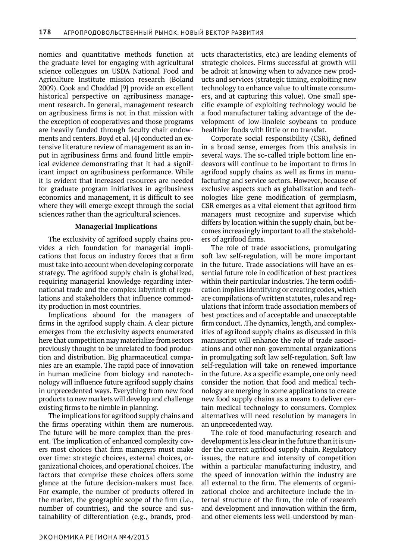nomics and quantitative methods function at the graduate level for engaging with agricultural science colleagues on USDA National Food and Agriculture Institute mission research (Boland 2009). Cook and Chaddad [9] provide an excellent historical perspective on agribusiness management research. In general, management research on agribusiness firms is not in that mission with the exception of cooperatives and those programs are heavily funded through faculty chair endowments and centers. Boyd et al. [4] conducted an extensive literature review of management as an input in agribusiness firms and found little empirical evidence demonstrating that it had a significant impact on agribusiness performance. While it is evident that increased resources are needed for graduate program initiatives in agribusiness economics and management, it is difficult to see where they will emerge except through the social sciences rather than the agricultural sciences.

#### **Managerial Implications**

The exclusivity of agrifood supply chains provides a rich foundation for managerial implications that focus on industry forces that a firm must take into account when developing corporate strategy. The agrifood supply chain is globalized, requiring managerial knowledge regarding international trade and the complex labyrinth of regulations and stakeholders that influence commodity production in most countries.

Implications abound for the managers of firms in the agrifood supply chain. A clear picture emerges from the exclusivity aspects enumerated here that competition may materialize from sectors previously thought to be unrelated to food production and distribution. Big pharmaceutical companies are an example. The rapid pace of innovation in human medicine from biology and nanotechnology will influence future agrifood supply chains in unprecedented ways. Everything from new food products to new markets will develop and challenge existing firms to be nimble in planning.

The implications for agrifood supply chains and the firms operating within them are numerous. The future will be more complex than the present. The implication of enhanced complexity covers most choices that firm managers must make over time: strategic choices, external choices, organizational choices, and operational choices. The factors that comprise these choices offers some glance at the future decision-makers must face. For example, the number of products offered in the market, the geographic scope of the firm (i.e., number of countries), and the source and sustainability of differentiation (e.g., brands, products characteristics, etc.) are leading elements of strategic choices. Firms successful at growth will be adroit at knowing when to advance new products and services (strategic timing, exploiting new technology to enhance value to ultimate consumers, and at capturing this value). One small specific example of exploiting technology would be a food manufacturer taking advantage of the development of low-linoleic soybeans to produce healthier foods with little or no transfat.

Corporate social responsibility (CSR), defined in a broad sense, emerges from this analysis in several ways. The so-called triple bottom line endeavors will continue to be important to firms in agrifood supply chains as well as firms in manufacturing and service sectors. However, because of exclusive aspects such as globalization and technologies like gene modification of germplasm, CSR emerges as a vital element that agrifood firm managers must recognize and supervise which differs by location within the supply chain, but becomes increasingly important to all the stakeholders of agrifood firms.

The role of trade associations, promulgating soft law self-regulation, will be more important in the future. Trade associations will have an essential future role in codification of best practices within their particular industries. The term codification implies identifying or creating codes, which are compilations of written statutes, rules and regulations that inform trade association members of best practices and of acceptable and unacceptable firm conduct. .The dynamics, length, and complexities of agrifood supply chains as discussed in this manuscript will enhance the role of trade associations and other non-governmental organizations in promulgating soft law self-regulation. Soft law self-regulation will take on renewed importance in the future. As a specific example, one only need consider the notion that food and medical technology are merging in some applications to create new food supply chains as a means to deliver certain medical technology to consumers. Complex alternatives will need resolution by managers in an unprecedented way.

The role of food manufacturing research and development is less clear in the future than it is under the current agrifood supply chain. Regulatory issues, the nature and intensity of competition within a particular manufacturing industry, and the speed of innovation within the industry are all external to the firm. The elements of organizational choice and architecture include the internal structure of the firm, the role of research and development and innovation within the firm, and other elements less well-understood by man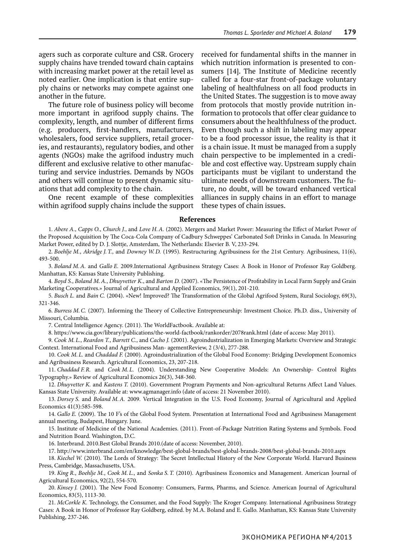agers such as corporate culture and CSR. Grocery supply chains have trended toward chain captains with increasing market power at the retail level as noted earlier. One implication is that entire supply chains or networks may compete against one another in the future.

The future role of business policy will become more important in agrifood supply chains. The complexity, length, and number of different firms (e.g. producers, first-handlers, manufacturers, wholesalers, food service suppliers, retail groceries, and restaurants), regulatory bodies, and other agents (NGOs) make the agrifood industry much different and exclusive relative to other manufacturing and service industries. Demands by NGOs and others will continue to present dynamic situations that add complexity to the chain.

One recent example of these complexities within agrifood supply chains include the support received for fundamental shifts in the manner in which nutrition information is presented to consumers [14]. The Institute of Medicine recently called for a four-star front-of-package voluntary labeling of healthfulness on all food products in the United States. The suggestion is to move away from protocols that mostly provide nutrition information to protocols that offer clear guidance to consumers about the healthfulness of the product. Even though such a shift in labeling may appear to be a food processor issue, the reality is that it is a chain issue. It must be managed from a supply chain perspective to be implemented in a credible and cost effective way. Upstream supply chain participants must be vigilant to understand the ultimate needs of downstream customers. The future, no doubt, will be toward enhanced vertical alliances in supply chains in an effort to manage these types of chain issues.

#### **References**

1. *Abere A.*, *Capps O.*, *Church J.*, and *Love H.A.* (2002). Mergers and Market Power: Measuring the Effect of Market Power of the Proposed Acquisition by The Coca-Cola Company of Cadbury Schweppes' Carbonated Soft Drinks in Canada. In Measuring Market Power, edited by D. J. Slottje, Amsterdam, The Netherlands: Elsevier B. V, 233-294.

2. *Boehlje M.*, *Akridge J.T.*, and *Downey W.D.* (1995). Restructuring Agribusiness for the 21st Century. Agribusiness, 11(6), 493-500.

3. *Boland M.A.* and *Gallo E.* 2009.International Agribusiness Strategy Cases: A Book in Honor of Professor Ray Goldberg. Manhattan, KS: Kansas State University Publishing.

4. *Boyd S.*, *Boland M.A.*, *Dhuyvetter K.*, and *Barton D.* (2007). «The Persistence of Profitability in Local Farm Supply and Grain Marketing Cooperatives.» Journal of Agricultural and Applied Economics, 59(1), 201-210.

5. *Busch L.* and *Bain C.* (2004). «New! Improved? The Transformation of the Global Agrifood System, Rural Sociology, 69(3), 321-346.

6. *Burress M.C.* (2007). Informing the Theory of Collective Entrepreneurship: Investment Choice. Ph.D. diss., University of Missouri, Columbia.

7. Central Intelligence Agency. (2011). The WorldFactbook. Available at:

8. https://www.cia.gov/library/publications/the-world-factbook/rankorder/2078rank.html (date of access: May 2011).

9. *Cook M.L.*, *Reardon T.*, *Barrett C.*, and *Cacho J.* (2001). Agroindustrialization in Emerging Markets: Overview and Strategic Context. International Food and Agribusiness Man- agementReview, 2 (3/4), 277-288.

10. *Cook M.L.* and *Chaddad F.* (2000). Agroindustrialization of the Global Food Economy: Bridging Development Economics and Agribusiness Research. Agricultural Economics, 23, 207-218.

11. *Chaddad F.R.* and *Cook M.L.* (2004). Understanding New Cooperative Models: An Ownership- Control Rights Typography.» Review of Agricultural Economics 26(3), 348-360.

12. *Dhuyvetter K.* and *Kastens T.* (2010). Government Program Payments and Non-agricultural Returns Affect Land Values. Kansas State University. Available at: www.agmanager.info (date of access: 21 November 2010).

13. *Dorsey S.* and *Boland M.A.* 2009. Vertical Integration in the U.S. Food Economy, Journal of Agricultural and Applied Economics 41(3):585-598.

14. *Gallo E.* (2009). The 10 F's of the Global Food System. Presentation at International Food and Agribusiness Management annual meeting, Budapest, Hungary. June.

15. Institute of Medicine of the National Academies. (2011). Front-of-Package Nutrition Rating Systems and Symbols. Food and Nutrition Board. Washington, D.C.

16. Interbrand. 2010.Best Global Brands 2010.(date of access: November, 2010).

17. http://www.interbrand.com/en/knowledge/best-global-brands/best-global-brands-2008/best-global-brands-2010.aspx

18. *Kiechel W.* (2010). The Lords of Strategy: The Secret Intellectual History of the New Corporate World. Harvard Business Press, Cambridge, Massachusetts, USA.

19. *King R.*, *Boehlje M.*, *Cook M.L.*, and *Sonka S.T.* (2010). Agribusiness Economics and Management. American Journal of Agricultural Economics, 92(2), 554-570.

20. *Kinsey J.* (2001). The New Food Economy: Consumers, Farms, Pharms, and Science. American Journal of Agricultural Economics, 83(5), 1113-30.

21. *McCorkle K.* Technology, the Consumer, and the Food Supply: The Kroger Company. International Agribusiness Strategy Cases: A Book in Honor of Professor Ray Goldberg, edited. by M.A. Boland and E. Gallo. Manhattan, KS: Kansas State University Publishing, 237-246.